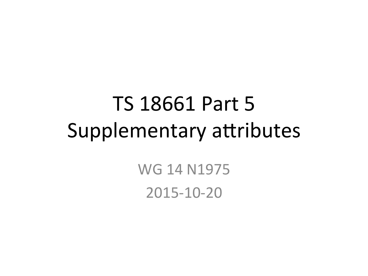## TS 18661 Part 5 Supplementary attributes

WG 14 N1975 2015-10-20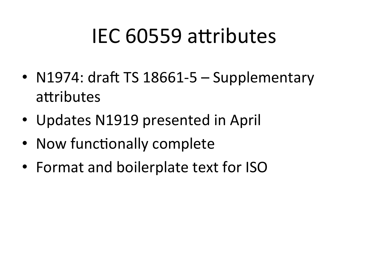## IEC 60559 attributes

- N1974: draft TS 18661-5 Supplementary attributes
- Updates N1919 presented in April
- Now functionally complete
- Format and boilerplate text for ISO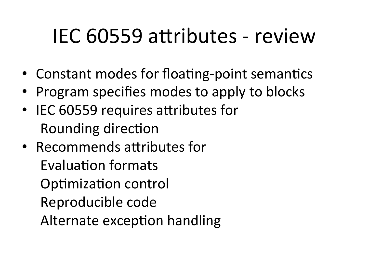#### IEC 60559 attributes - review

- Constant modes for floating-point semantics
- Program specifies modes to apply to blocks
- IEC 60559 requires attributes for Rounding direction
- Recommends attributes for Evaluation formats Optimization control Reproducible code Alternate exception handling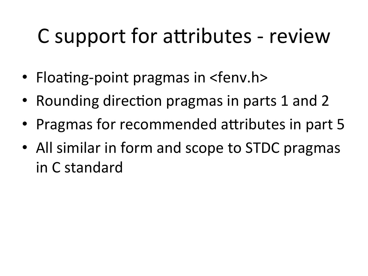# C support for attributes - review

- Floating-point pragmas in  $\leq$  fenv.h>
- Rounding direction pragmas in parts 1 and 2
- Pragmas for recommended attributes in part 5
- All similar in form and scope to STDC pragmas in C standard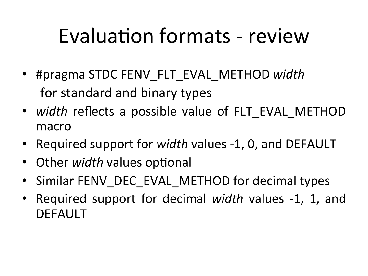# Evaluation formats - review

- #pragma STDC FENV\_FLT\_EVAL\_METHOD *width* for standard and binary types
- *width* reflects a possible value of FLT EVAL METHOD macro
- Required support for *width* values -1, 0, and DEFAULT
- Other *width* values optional
- Similar FENV DEC EVAL METHOD for decimal types
- Required support for decimal *width* values -1, 1, and DEFAULT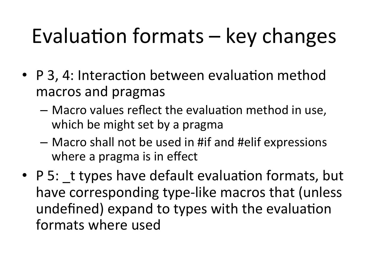# Evaluation formats  $-$  key changes

- P 3, 4: Interaction between evaluation method macros and pragmas
	- $-$  Macro values reflect the evaluation method in use, which be might set by a pragma
	- $-$  Macro shall not be used in #if and #elif expressions where a pragma is in effect
- P 5: t types have default evaluation formats, but have corresponding type-like macros that (unless undefined) expand to types with the evaluation formats where used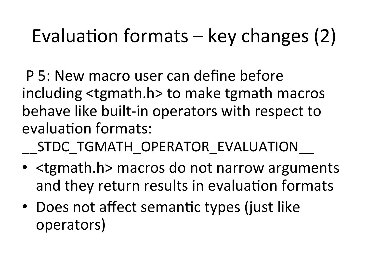#### Evaluation formats  $-$  key changes (2)

P 5: New macro user can define before including <tgmath.h> to make tgmath macros behave like built-in operators with respect to evaluation formats:

STDC TGMATH OPERATOR EVALUATION

- <tgmath.h> macros do not narrow arguments and they return results in evaluation formats
- Does not affect semantic types (just like operators)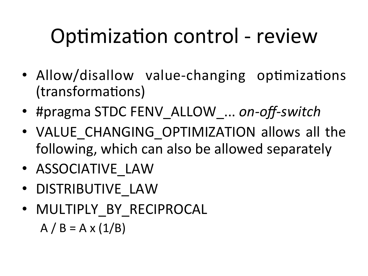# Optimization control - review

- Allow/disallow value-changing optimizations (transformations)
- #pragma STDC FENV\_ALLOW ... on-off-switch
- VALUE\_CHANGING OPTIMIZATION allows all the following, which can also be allowed separately
- ASSOCIATIVE LAW
- DISTRIBUTIVE\_LAW
- MULTIPLY BY RECIPROCAL  $A / B = A \times (1/B)$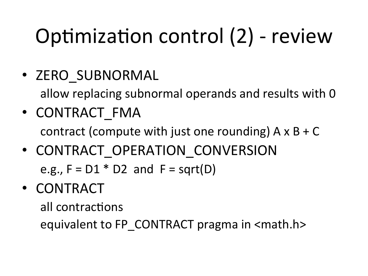# Optimization control  $(2)$  - review

• ZERO SUBNORMAL

allow replacing subnormal operands and results with 0

- CONTRACT\_FMA contract (compute with just one rounding)  $A \times B + C$
- CONTRACT OPERATION CONVERSION e.g.,  $F = D1 * D2$  and  $F = sqrt(D)$
- CONTRACT

all contractions

equivalent to FP CONTRACT pragma in <math.h>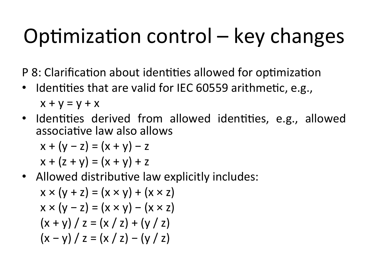# Optimization control  $-$  key changes

P 8: Clarification about identities allowed for optimization

- Identities that are valid for IEC 60559 arithmetic, e.g.,  $x + y = y + x$
- Identities derived from allowed identities, e.g., allowed associative law also allows

$$
x + (y - z) = (x + y) - z
$$
  

$$
x + (z + y) = (x + y) + z
$$

• Allowed distributive law explicitly includes:

$$
x \times (y + z) = (x \times y) + (x \times z)
$$
  
\n
$$
x \times (y - z) = (x \times y) - (x \times z)
$$
  
\n
$$
(x + y) / z = (x / z) + (y / z)
$$
  
\n
$$
(x - y) / z = (x / z) - (y / z)
$$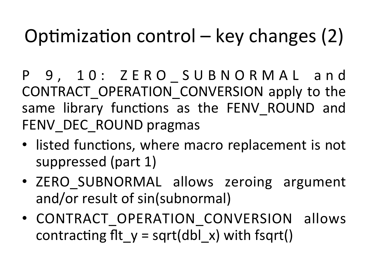#### Optimization control – key changes  $(2)$

- P 9, 10: ZERO SUBNORMAL and CONTRACT OPERATION CONVERSION apply to the same library functions as the FENV ROUND and FENV DEC ROUND pragmas
- listed functions, where macro replacement is not suppressed (part 1)
- ZERO SUBNORMAL allows zeroing argument and/or result of sin(subnormal)
- CONTRACT OPERATION CONVERSION allows contracting fit  $y = sqrt(dbl x)$  with fsqrt()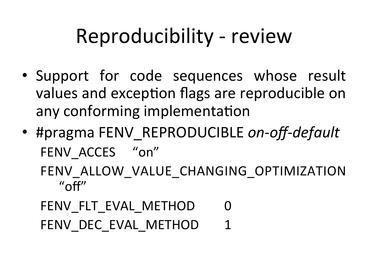#### Reproducibility - review

- Support for code sequences whose result values and exception flags are reproducible on any conforming implementation
- #pragma FENV REPRODUCIBLE *on-off-default* FENV ACCES "on" FENV ALLOW VALUE CHANGING OPTIMIZATION

 $^{\prime\prime}$ off $^{\prime\prime}$ 

FENV\_FLT\_EVAL\_METHOD 0 FENV DEC EVAL METHOD 1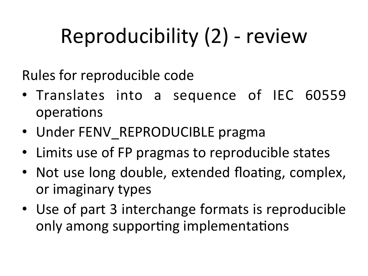# Reproducibility (2) - review

Rules for reproducible code

- Translates into a sequence of IEC 60559 operations
- Under FENV REPRODUCIBLE pragma
- Limits use of FP pragmas to reproducible states
- Not use long double, extended floating, complex, or imaginary types
- Use of part 3 interchange formats is reproducible only among supporting implementations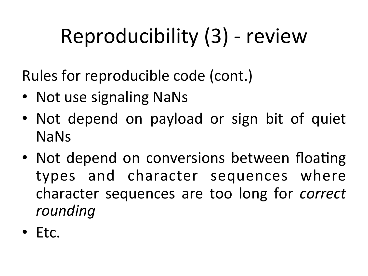# Reproducibility (3) - review

Rules for reproducible code (cont.)

- Not use signaling NaNs
- Not depend on payload or sign bit of quiet NaNs
- Not depend on conversions between floating types and character sequences where character sequences are too long for *correct rounding*
- Etc.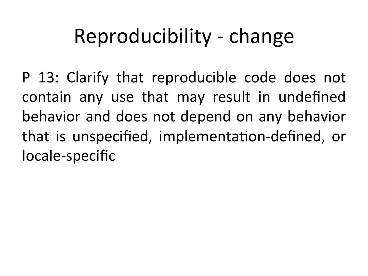#### Reproducibility - change

P 13: Clarify that reproducible code does not contain any use that may result in undefined behavior and does not depend on any behavior that is unspecified, implementation-defined, or locale-specific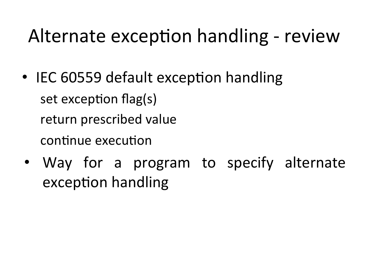- IEC 60559 default exception handling set exception flag(s) return prescribed value continue execution
- Way for a program to specify alternate exception handling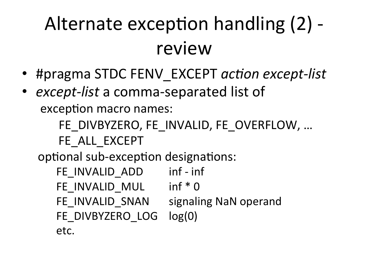## Alternate exception handling (2) review

- #pragma STDC FENV EXCEPT *action except-list*
- *except-list* a comma-separated list of exception macro names:

FE DIVBYZERO, FE INVALID, FE OVERFLOW, ...

FE\_ALL\_EXCEPT

optional sub-exception designations:

FE\_INVALID\_ADD inf - inf FE\_INVALID\_MUL inf \* 0 FE\_INVALID\_SNAN signaling NaN operand FE\_DIVBYZERO\_LOG log(0) etc.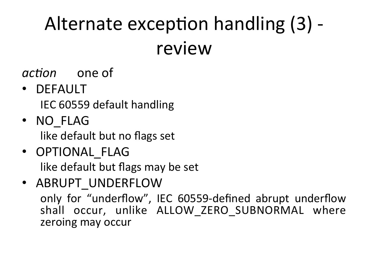#### Alternate exception handling (3) review

#### *action* one of

• DEFAULT

IEC 60559 default handling

- NO\_FLAG like default but no flags set
- OPTIONAL\_FLAG like default but flags may be set
- ABRUPT UNDERFLOW only for "underflow", IEC 60559-defined abrupt underflow shall occur, unlike ALLOW ZERO SUBNORMAL where zeroing may occur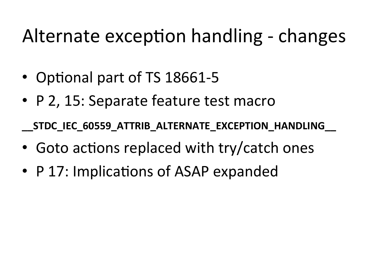- Optional part of TS 18661-5
- P 2, 15: Separate feature test macro

**\_\_STDC\_IEC\_60559\_ATTRIB\_ALTERNATE\_EXCEPTION\_HANDLING\_\_**

- Goto actions replaced with try/catch ones
- P 17: Implications of ASAP expanded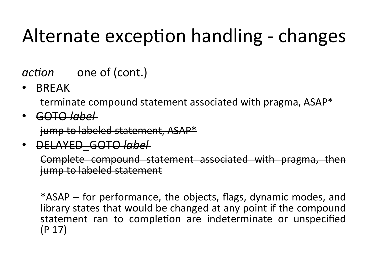*action* one of (cont.)

• BREAK 

terminate compound statement associated with pragma, ASAP\*

• GOTO *label* 

jump to labeled statement, ASAP\*

• DELAYED\_GOTO *label* 

Complete compound statement associated with pragma, then jump to labeled statement

\*ASAP – for performance, the objects, flags, dynamic modes, and library states that would be changed at any point if the compound statement ran to completion are indeterminate or unspecified  $(P 17)$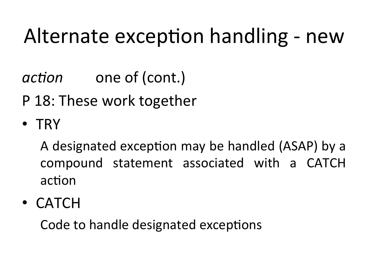*action* one of (cont.)

P 18: These work together

• TRY 

A designated exception may be handled (ASAP) by a compound statement associated with a CATCH action

• CATCH 

Code to handle designated exceptions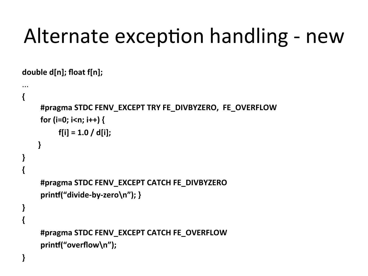double d[n]; float f[n];

... 

```
{	
    #pragma STDC FENV_EXCEPT TRY FE_DIVBYZERO, FE_OVERFLOW
    for (i=0; i<n; i++) {
         f[i] = 1.0 / d[i];}	
}	
{
    #pragma	STDC	FENV_EXCEPT	CATCH	FE_DIVBYZERO	
    printf("divide-by-zero\n"); }
}		
{
    #pragma STDC FENV_EXCEPT CATCH FE_OVERFLOW
    printf("overflow\n");
}
```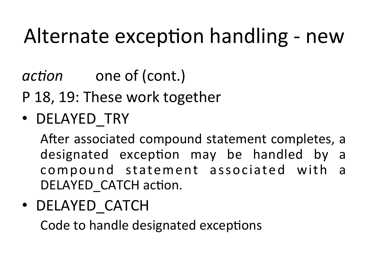*action* one of (cont.)

P 18, 19: These work together

• DELAYED\_TRY 

After associated compound statement completes, a designated exception may be handled by a compound statement associated with a DELAYED CATCH action.

• DELAYED\_CATCH 

Code to handle designated exceptions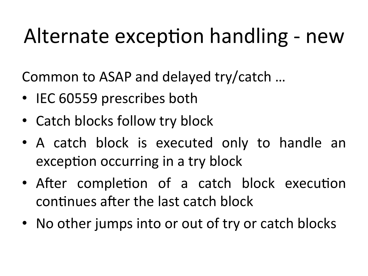Common to ASAP and delayed try/catch ...

- IEC 60559 prescribes both
- Catch blocks follow try block
- A catch block is executed only to handle an exception occurring in a try block
- After completion of a catch block execution continues after the last catch block
- No other jumps into or out of try or catch blocks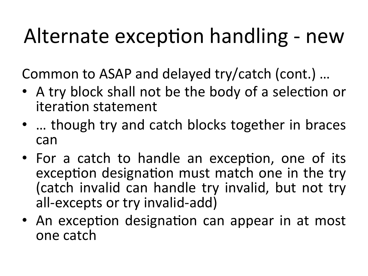Common to ASAP and delayed try/catch (cont.) ...

- A try block shall not be the body of a selection or iteration statement
- ... though try and catch blocks together in braces can
- For a catch to handle an exception, one of its exception designation must match one in the try (catch invalid can handle try invalid, but not try all-excepts or try invalid-add)
- An exception designation can appear in at most one catch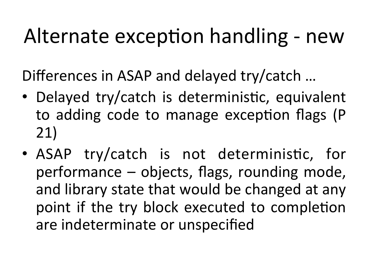Differences in ASAP and delayed try/catch ...

- Delayed try/catch is deterministic, equivalent to adding code to manage exception flags (P 21)
- ASAP try/catch is not deterministic, for performance  $-$  objects, flags, rounding mode, and library state that would be changed at any point if the try block executed to completion are indeterminate or unspecified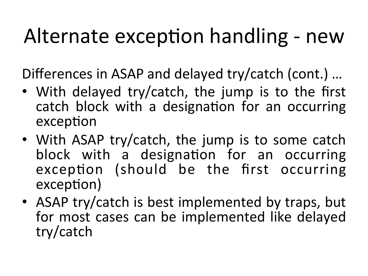Differences in ASAP and delayed try/catch (cont.) ...

- With delayed try/catch, the jump is to the first catch block with a designation for an occurring exception
- With ASAP try/catch, the jump is to some catch block with a designation for an occurring exception (should be the first occurring exception)
- ASAP try/catch is best implemented by traps, but for most cases can be implemented like delayed try/catch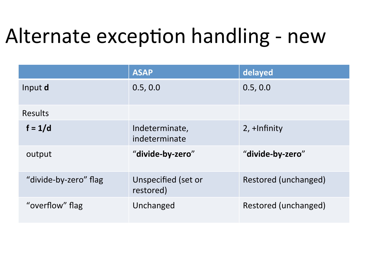|                       | <b>ASAP</b>                      | delayed              |
|-----------------------|----------------------------------|----------------------|
| Input d               | 0.5, 0.0                         | 0.5, 0.0             |
| <b>Results</b>        |                                  |                      |
| $f = 1/d$             | Indeterminate,<br>indeterminate  | $2, +$ Infinity      |
| output                | "divide-by-zero"                 | "divide-by-zero"     |
| "divide-by-zero" flag | Unspecified (set or<br>restored) | Restored (unchanged) |
| "overflow" flag       | Unchanged                        | Restored (unchanged) |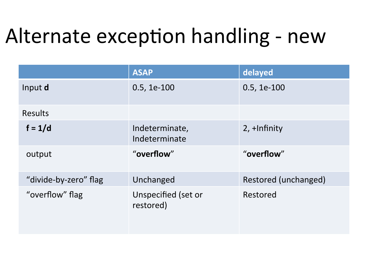|                       | <b>ASAP</b>                      | delayed              |
|-----------------------|----------------------------------|----------------------|
| Input d               | $0.5, 1e-100$                    | $0.5, 1e-100$        |
| <b>Results</b>        |                                  |                      |
| $f = 1/d$             | Indeterminate,<br>Indeterminate  | $2, +$ Infinity      |
| output                | "overflow"                       | "overflow"           |
| "divide-by-zero" flag | Unchanged                        | Restored (unchanged) |
| "overflow" flag       | Unspecified (set or<br>restored) | Restored             |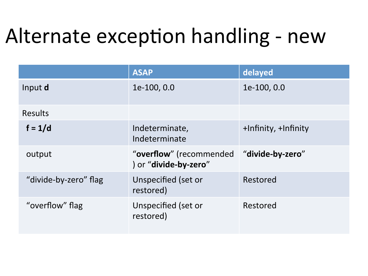|                       | <b>ASAP</b>                                      | delayed              |
|-----------------------|--------------------------------------------------|----------------------|
| Input d               | 1e-100, 0.0                                      | 1e-100, 0.0          |
| <b>Results</b>        |                                                  |                      |
| $f = 1/d$             | Indeterminate,<br>Indeterminate                  | +Infinity, +Infinity |
| output                | "overflow" (recommended<br>) or "divide-by-zero" | "divide-by-zero"     |
| "divide-by-zero" flag | Unspecified (set or<br>restored)                 | Restored             |
| "overflow" flag       | Unspecified (set or<br>restored)                 | Restored             |